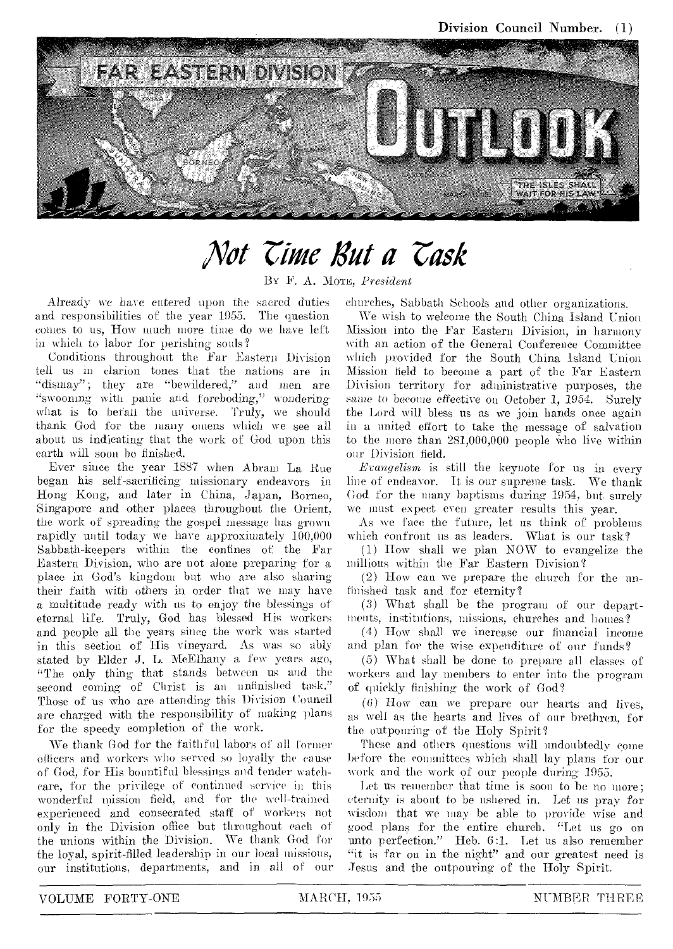

# *Not Time But a Task*

BY F. A. MOTE, President

Already we have entered upon the sacred duties and responsibilities of the year 1955. The question conies to us, How much more time do we have left in which to labor for perishing souls?

Conditions throughout the Far Eastern Division tell us in clarion tones that the nations are in "dismay"; they are "bewildered," and men are "swooning with panic and foreboding," wondering what is to befall the universe. Truly, we should thank God for the many omens which we see all about us indicating that the work of God upon this earth will soon be finished.

Ever since the year 1887 *when* Abram La Rue began his self-sacrificing missionary endeavors in Hong Kong, and later in China, Japan, Borneo, Singapore and other places throughout the Orient, the work of spreading the gospel message has grown rapidly until today we have approximately 100,000 Sabbath-keepers within the confines of the Far Eastern Division, who are not alone preparing for a place in God's kingdom but who are also sharing their faith with others in order that we may have a *multitude ready* with us to enjoy the blessings of eternal life. Truly, God has blessed His workers and people all the years since the work was started in this section of His vineyard. As was so ably stated by Elder J. L. McElhany a *few* years ago, "The only thing that stands between us and the second coming of Christ is an unfinished task." Those of us who are attending this Division Council are charged with the responsibility of making plans for the speedy completion of the work.

We thank God for the faithful labors of all former officers and workers who served so loyally the *cause*  of God, for His bountiful blessings and tender watchcare, for the privilege of continued service in this wonderful mission field, and for the well-trained experienced and consecrated staff of workers not only in the Division office but throughout each of the unions within the Division. We thank God for the loyal, spirit-filled leadership in our local missions, our institutions, departments, and in all of our churches, Sabbath Schools and other organizations.

We wish to welcome the South China Island Union Mission into the Far Eastern Division, in harmony with an action of the General Conference Committee which provided for the South China Island Union Mission field to become a part of the Far Eastern Division territory for administrative purposes, the *same* to become effective on October 1, 1954. Surely the Lord will bless us as we join hands once again iu a united effort to take the message of salvation to the more than 281,000,000 people who live within our Division field.

*Evangelism is* still the keynote for us in every line of endeavor. It is our supreme task. We thank (lod for the many baptisms during 1954, but surely we must expect even greater results this year.

As we face the future, let us think of problems which confront us as leaders. What is our task?

(1) How shall we plan NOW to evangelize the millions within the Far Eastern Division?

(2) How can we prepare the church for the unfinished task and for eternity?

(3) What shall be the program of our departments, institutions, missions, churches and homes?

(4) How shall we increase our financial income and plan for the wise expenditure of our funds?

(5) What shall be done to prepare all classes of workers and lay members to enter into the program of quickly finishing the work of God?

 $(6)$  How can we prepare our hearts and lives, as well as the hearts and lives of our brethren, for the outpouring of the Holy Spirit?

These and others questions will undoubtedly come before the eounnittees which shall lay plans for our work and the work of our people during 1955.

Let us remember that time is soon to be no more; eternity is about to be ushered in. Let us pray for wisdom that we may be able to provide wise and good plans for the entire church. "Let us go on unto perfection." Heb. 6;1. Let us also remember "it is far on in the night" and our greatest need is Jesus and the outpouring of the Holy Spirit.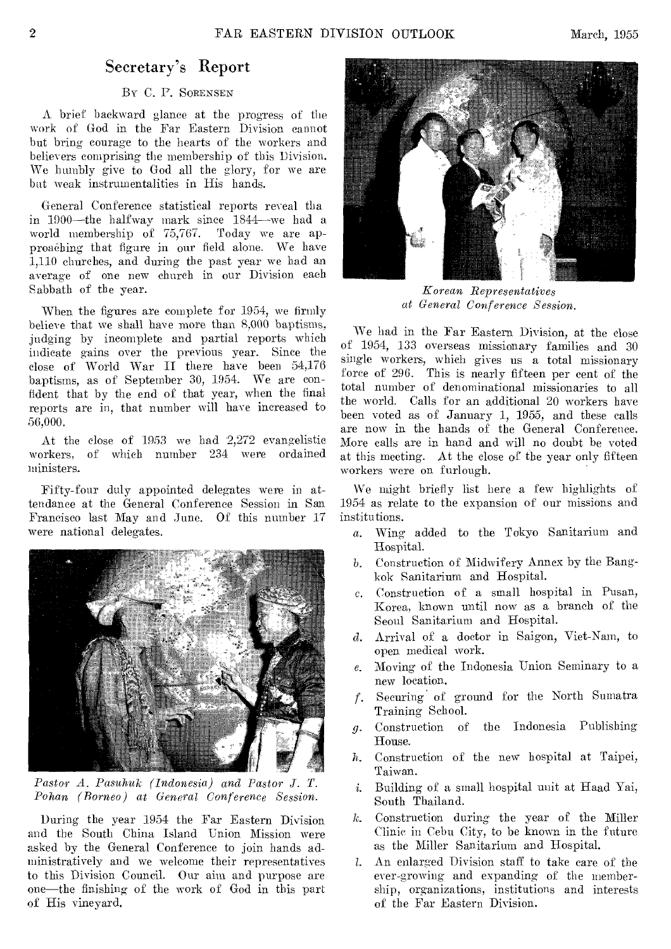## Secretary's Report

#### By C. P. SORENSEN

A brief backward glance at the progress of the work of God in the Far Eastern Division cannot but bring courage to the hearts of the workers and believers comprising the membership of this Division. We humbly give to God all the glory, for we are but weak instrumentalities in His hands.

General Conference statistical reports reveal tha in 1900—the halfway mark since 1844—we had a world membership of 75,767. Today we are approaching that figure in our field alone. We have 1,110 churches, and during the past year we had an average of one new church in our Division each Sabbath of the year.

When the figures are complete for 1954, we firmly believe that we shall have more than 8,000 baptisms, judging by incomplete and partial reports which indicate gains over the previous year. Since the close of World War II there have been 54,176 baptisms, as of September 30, 1954. We are confident that by the end of that year, when the final reports are in, that number will have increased to 56,000.

At the close of 1953 we had 2,272 evangelistic workers, of which number 234 were ordained ministers.

Fifty-four duly appointed delegates were in attendance at the General Conference Session in San Francisco last May and June. Of this number 17 were national delegates.



Pastor A. Pasuhuk (Indonesia) and Pastor J. T. *Pohan (Borneo) at General Conference Session.* 

During the year 1954 the Far Eastern Division and the South China Island Union Mission were asked by the General Conference to join hands administratively and we welcome their representatives to this Division Council. Our aim and purpose are one—the finishing of the work of God in this part of His vineyard.



*Korean Representatives at General Conference Session.* 

We had in the Far Eastern Division, at the close of 1954, 133 overseas missionary families and 30 single workers, which gives us a total missionary force of 296. This is nearly fifteen per cent of the total number of denominational missionaries to all the world. Calls for an additional 20 workers have been voted as of January 1, 1955, and these calls are now in the hands of the General Conference. More calls are in hand and will no doubt be voted at this meeting. At the close of the year only fifteen workers were on furlough.

We might briefly list here a few highlights of 1954 as relate to the expansion of our missions and institutions.

- a. Wing added to the Tokyo Sanitarium and Hospital.
- b. Construction of Midwifery Annex by the Bangkok Sanitarium and Hospital.
- c. Construction of a small hospital in Pusan, Korea, known until now as a branch of the Seoul Sanitarium and Hospital.
- d. Arrival of a doctor in Saigon, Viet-Nam, to open medical work.
- e. Moving of the Indonesia Union Seminary to a new location.
- f. Securing of ground for the North Sumatra Training School.
- g. Construction of the Indonesia Publishing House.
- h. Construction of the new hospital at Taipei, Taiwan.
- i. Building of a small hospital unit at Haad Yai, South Thailand.
- *9.* Construction during the year of the Miller Clinic in Cebu City, to be known in the future as the Miller Sanitarium and Hospital.
- *1.* An enlarged Division staff to take care of the ever-growing and expanding of the membership, organizations, institutions and interests of the Far Eastern Division.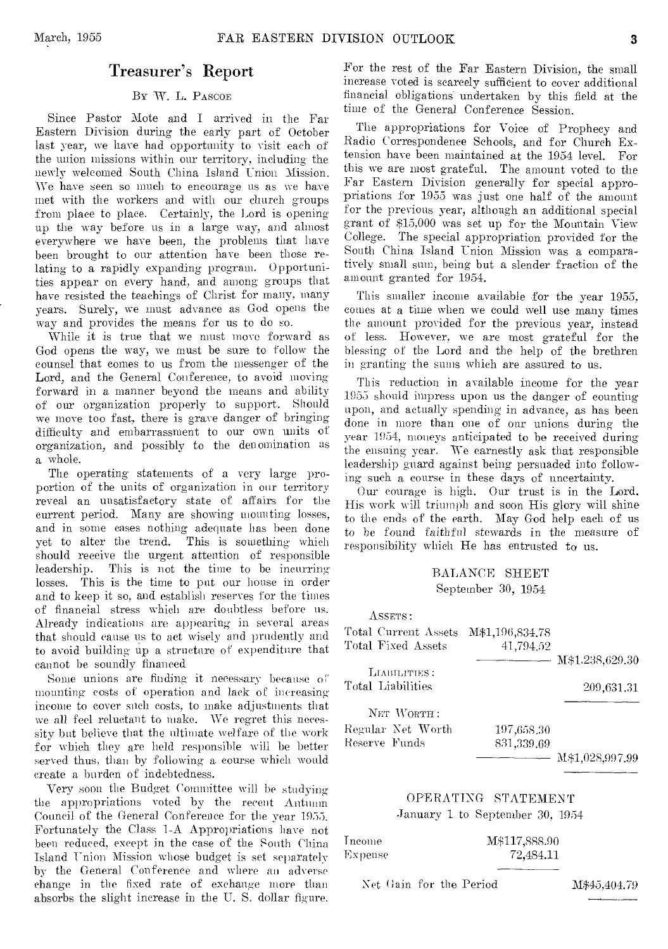## Treasurer's Report

### BY W. L. PASCOE

Since Pastor Mote and I arrived in the Far Eastern Division during the early part of October last year, we have had opportunity to visit each of the union missions within our territory, including the newly welcomed South China Island Union Mission. We have seen so much to encourage us as we have met with the workers and with our church groups from place to place. Certainly, the Lord is opening up the way before us in a large way, and almost everywhere we have been, the problems that have been brought to our attention have been those relating to a rapidly expanding program. Opportunities appear on every hand, and among groups that have resisted the teachings of Christ for many, many years. Surely, we must advance as God opens the way and provides the means for us to do so.

While it is true that we must move forward as God opens the way, we must be sure to follow the counsel that comes to us from the messenger of the Lord, and the General Conference, to avoid moving forward in a manner beyond the means and ability of our organization properly to support. Should we move too fast, there is grave danger of bringing difficulty and embarrassment to our own units of organization, and possibly to the denomination as a whole.

The operating statements of a very large proportion of the units of organization in our territory reveal an unsatisfactory state of affairs for the current period. Many are showing mounting losses, and in some cases nothing adequate has been done yet to alter the trend. This is something which should receive the urgent attention of responsible leadership. This is not the time to be incurring losses. This is the time to put our house in order and to keep it so, and establish reserves for the times of financial stress which are doubtless before us. Already indications are appearing in several areas that should cause us to act wisely and prudently and to avoid building up a structure of expenditure that cannot be soundly financed

Some unions are finding it necessary because of mounting costs of operation and lack of increasing income to cover such costs, to make adjustments that we all feel reluctant to make. We regret this necessity but believe that the ultimate welfare of the work for which they are held responsible will be better served thus, than by following a course which would create a burden of indebtedness.

Very soon the Budget Committee will be studying the appropriations voted by the recent Autumn Council of the General Conference for the year 1955. Fortunately the Class 1-A Appropriations have not been reduced, except in the case of the South China Island Union Mission whose budget is set separately by the General Conference and where an adverse change in the fixed rate of exchange more than absorbs the slight increase in the U. S. dollar figure.

For the rest of the Far Eastern Division, the small increase voted is scarcely sufficient to cover additional financial obligations undertaken by this field at the time of the General Conference Session.

The appropriations for Voice of Prophecy and Radio Correspondence Schools, and for Church Extension have been maintained at the 1954 level. For this we are most grateful. The amount voted to the Far Eastern Division generally for special appropriations for 1955 was just one half of the amount for the previous year, although an additional special grant of \$15,000 was set up for the Mountain View College. The special appropriation provided for the South China Island Union Mission was a comparatively small sum, being but a slender fraction of the amount granted for 1954.

This smaller income available for the year 1955, conies at a time when we could well use many times the amount provided for the previous year, instead of less. However, we are most grateful for the blessing of the Lord and the help of the brethren in granting the sums which are assured to us.

This reduction in available income for the year 1955 should impress upon us the danger of counting upon, and actually spending in advance, as has been done in more than one of our unions during the year 1954, moneys anticipated to be received during the ensuing year. We earnestly ask that responsible leadership guard against being persuaded into following such a course in these days of uncertainty.

Our courage is high. Our trust is in the Lord. His work will triumph and soon His glory will shine to the ends of the earth. May God help each of us to he found faithful stewards in the measure of responsibility which He has entrusted to us.

### BALANCE SHEET September 30, 1954

| 71 SSETS 1           |                 |                 |
|----------------------|-----------------|-----------------|
| Total Current Assets | M\$1,196,834.78 |                 |
| Total Fixed Assets   | 41,794.52       |                 |
|                      | $\frac{1}{2}$   | M\$1.238,629.30 |
| LIABILITIES:         |                 |                 |
| Total Liabilities    |                 | 209,631.31      |
| NET WORTH:           |                 |                 |
| Regular Net Worth    | 197,658.30      |                 |
| Reserve Funds        | 831,339.69      |                 |
|                      |                 | M\$1,028,997.99 |

### OPERATING STATEMENT January 1 to September 30, 1954

| Income  | M\$117,888.90 |
|---------|---------------|
| Expense | 72,484.11     |

Net Gain for the Period M\$45,404.79

 $A$   $B$   $B$   $B$   $B$   $B$   $B$   $B$   $C$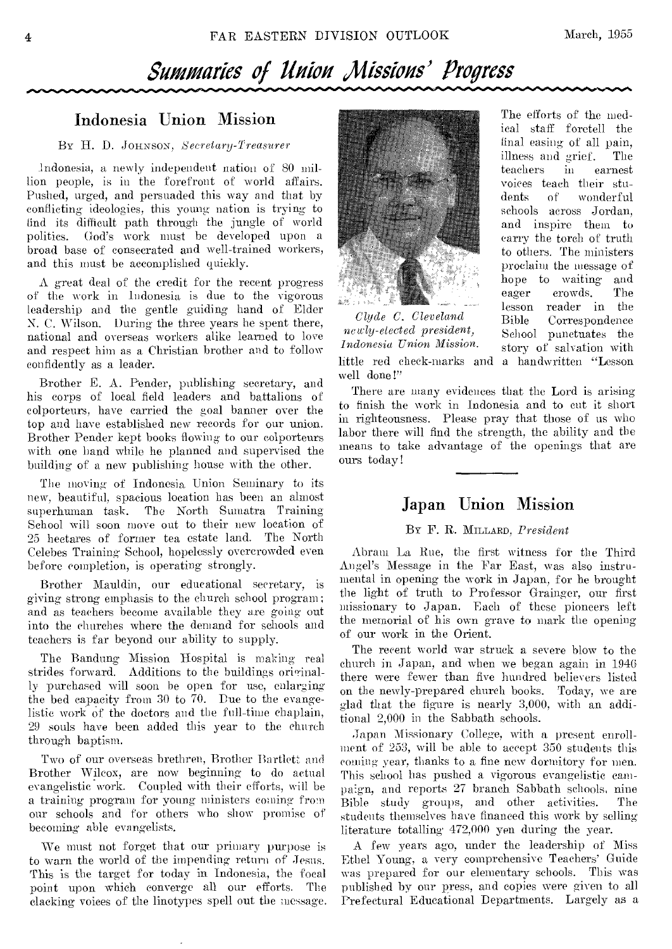## *Suxxart-es of liffiON Jlisse-offs' Progress*

## Indonesia Union Mission

BY H. D. JOHNSON, *Secretary-Treasurer* 

Indonesia, a newly independent nation of SO million people, is in the forefront of world affairs. Pushed, urged, and persuaded this way and that by conflicting ideologies, this young nation is trying to find its difficult path through the jungle of world politics. God's work must be developed upon a broad base of consecrated and well-trained workers, and this must be accomplished quickly.

A great deal of the credit for the recent progress of the work in Indonesia is due to the vigorous leadership and the gentle guiding hand of Elder N. C. Wilson. During the three years he spent there, national and overseas workers alike learned to love and respect him as a Christian brother and to follow confidently as a leader.

Brother E. A. Pender, publishing secretary, and his corps of local field leaders and battalions of colporteurs, have carried the goal banner over the top and have established new records for our union. Brother Pender kept books flowing to our colporteurs with one hand while he planned and supervised the building of a new publishing house with the other.

The moving of Indonesia Union Seminary to its new, beautiful, spacious location has been an almost superhuman task. The North Sumatra Training School will soon move out to their new location of 25 hectares of former tea estate land. The North Celebes Training School, hopelessly overcrowded even before completion, is operating strongly.

Brother Mauldin, our educational secretary, is giving strong emphasis to the church school program; and as teachers become available they are going out into the churches where the demand for schools and teachers is far beyond our ability to supply.

The Bandung Mission Hospital is making real strides forward. Additions to the buildings originally purchased will soon be open for use, enlarging the bed capacity from 30 to 70. Due to the evangelistic work of the doctors and the full-time chaplain, 29 souls have been added this year to the church through baptism.

Two of our overseas brethren, Brother Bartlett and Brother Wilcox, are now beginning to do actual evangelistic work. Coupled with their efforts, will be a training program for young ministers coming from our schools and for others who show promise of becoming able evangelists.

We must not forget that our primary purpose is to warn the world of the impending return of Jesus. This is the target for today in Indonesia, the focal point upon which converge all our efforts. The clacking voices of the linotypes spell out the message.



*Clyde C. Cleveland newly-elected president, Indonesia Union Mission.* 

little red check-marks and a handwritten "Lesson well done!"

There are many evidences that the Lord is arising to finish the work in Indonesia and to cut it short in righteousness. Please pray that those of us who labor there will find the strength, the ability and the means to take advantage of the openings that are ours today!

## Japan Union Mission

## BY F. R. MILLARD, *President*

Abram La Rue, the first witness for the Third Angel's Message in the Far East, was also instrumental in opening the work in Japan, for he brought the light of truth to Professor Grainger, our first missionary to Japan. Each of these pioneers left the memorial of his own grave to mark the opening of our work in the Orient.

The recent world war struck a severe blow to the church in Japan, and when we began again in 1946 there were fewer than five hundred believers listed on the newly-prepared church books. Today, we are glad that the figure is nearly 3,000, with an additional 2,000 in the Sabbath schools.

Japan Missionary College, with a present enrollment of 253, will be able to accept 350 students this coming year, thanks to a fine new dormitory for men. This school has pushed a vigorous evangelistic campaign, and reports 27 branch Sabbath schools, nine Bible study groups, and other activities. students themselves have financed this work by selling literature totalling 472,000 yen during the year.

A few years ago, under the leadership of Miss Ethel Young, *a* very comprehensive Teachers' Guide was prepared for our elementary schools. This was published by our press, and copies were given to all Prefectural Educational Departments. Largely as a

ical staff foretell the final easing of all pain, illness and grief. The in earnest voices teach their stu-<br>dents of wonderful wonderful schools across Jordan, and inspire them to carry the torch of truth to others. The ministers proclaim the message of hope to waiting and<br>eager crowds. The erowds. lesson reader in the Correspondence School punctuates the story of salvation with

The efforts of the med-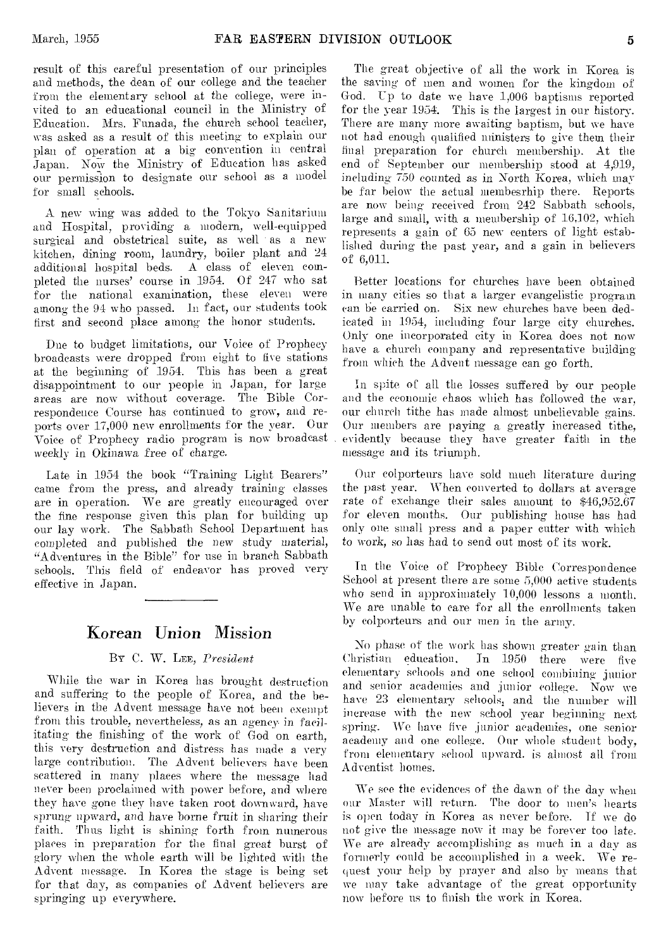result of this careful presentation of our principles and methods, the dean of our college and the teacher from the elementary school at the college, were invited to an educational council in the Ministry of Education. Mrs. Funada, the church school teacher, was asked as a result of this meeting to explain our plan of operation at a big convention in central Japan. Now the Ministry of Education has asked our permission to designate our school as a model for small schools.

A new wing was added to the Tokyo Sanitarium and Hospital, providing a modern, well-equipped surgical and obstetrical suite, as well as a new kitchen, dining room, laundry, boiler plant and 24 additional hospital beds. A class of eleven completed the nurses' course in 1954. Of 247 who sat for the national examination, these eleven were among the 94 who passed. In fact, our students took first and second place among the honor students.

Due to budget limitations, our Voice of Prophecy broadcasts were dropped from eight to five stations at the beginning of 1954. This has been a great disappointment to our people in Japan, for large areas are now without coverage. The Bible Correspondence Course has continued to grow, and reports over 17,000 new enrollments for the year. Our Voice of Prophecy radio program is now broadcast weekly in Okinawa free *of* charge.

Late in 1954 the book "Training Light Bearers" came from the press, and already training classes are in operation. We are greatly encouraged over the fine response given this plan for building up our lay work. The Sabbath School Department has completed and published the new study material, "Adventures in the Bible" for use in branch Sabbath schools. This field of endeavor has proved very effective in Japan.

## Korean Union Mission

## BY C. W. LEE, *President*

While the war in Korea has brought destruction and suffering to the people of Korea, and the believers in the Advent message have not been exempt from this trouble, nevertheless, as an agency in facilitating the finishing of the work of God on earth, this very destruction and distress has made a very large contribution. The Advent believers have been scattered in many places where the message had never been proclaimed with power before, and where they have gone they have taken root downward, have sprung upward, and have borne fruit in sharing their faith. Thus light is shining forth from numerous places in preparation for the final great burst of glory when the whole earth will be lighted with the Advent message. In Korea the stage is being set for that day, *as* companies of Advent believers are springing up everywhere.

The great objective of all the work in Korea is the saving of men and women for the kingdom of God. Up to date we have 1,006 baptisms reported for the year 1954. This is the largest in our history. There are many more awaiting baptism, but we have not had enough qualified ministers to give them their final preparation for church membership. At the end of September our membership stood at 4,919, including 750 counted as in North Korea, which may be far below the actual membesrhip there. Reports are now being received from 242 Sabbath schools, large and small, with a membership of 16,102, which represents a gain of 65 new centers of light established during the past year, and a gain in believers of 6,011.

Better locations for churches have been obtained in many cities so that a larger evangelistic program can be carried on. Six new churches have been dedicated in 1954, including four large city churches. Only one incorporated city in Korea does not now have a church company and representative building from which the Advent message can go forth.

In spite of all the losses suffered by our people and the economic chaos which has followed the war, our church tithe has made almost unbelievable gains. Our members are paying a greatly increased tithe, evidently because they have greater faith in the message and its triumph.

Our colporteurs have sold much literature during the past year. When converted to dollars at average rate of exchange their sales amount to \$46,952.67 for eleven months. Our publishing house has had only one small press and a paper cutter with which to work, so has had to send out most of its work.

In the Voice of Prophecy Bible Correspondence School at present there are some 5,000 active students who send in approximately 10,000 lessons a month. We are unable to care for all the enrollments taken by colporteurs and our men in the army.

No phase of the work has shown greater gain than Christian education. In 1950 there were five elementary schools and one school combining junior and senior academies and junior college. Now we have 23 elementary schools, and the number will increase with the new school year beginning next spring. We have five junior academies, one senior academy and one college. Our whole student body, from elementary school upward. is almost all from Adventist homes.

We see the evidences of the dawn of the day when our Master will return. The door to inen's hearts is open today in Korea as never before. If we do not give the message now it may be forever too late. We are already accomplishing as much in a day as formerly could be accomplished in a week. We request your help by prayer and also by means that we may take advantage of the great opportunity now before us to finish the work in Korea.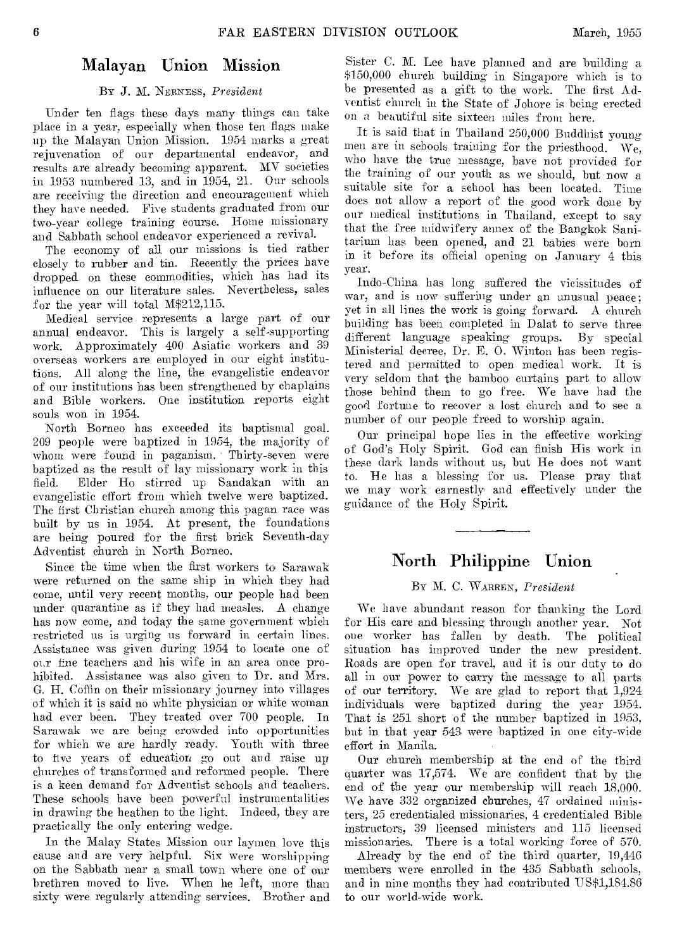## Malayan Union Mission

#### By J. M. NERNESS, *President*

Under ten flags these days many things can take place in a year, especially when those ten flags make up the Malayan Union Mission. 1954 marks a great rejuvenation of our departmental endeavor, and results are already becoming apparent. MV societies in 1953 numbered 13, and in 1954, 21. Our schools are receiving the direction and encouragement which they have needed. Five students graduated from our two-year college training course. Home missionary and Sabbath school endeavor experienced a revival.

The economy of all our missions is tied rather closely to rubber and tin. Recently the prices have dropped on these commodities, which has had its influence on our literature sales. Nevertheless, sales for the year will total M\$212,115.

Medical service represents a large part of our annual endeavor. This is largely a self-supporting work. Approximately 400 Asiatic workers and 39 overseas workers are employed in our eight institutions. All along the line, the evangelistic endeavor of our institutions has been strengthened by chaplains and Bible workers. One institution reports eight souls won in 1954.

North Borneo has exceeded its baptismal goal. 209 people were baptized in 1954, the majority of whom were found in paganism. Thirty-seven were baptized as the result of lay missionary work in this field. Elder Ho stirred up Sandakan with an evangelistic effort from which twelve were baptized. The first Christian church among this pagan race was built by us in 1954. At present, the foundations are being poured for the first brick Seventh-day Adventist church in North Borneo.

Since the time when the first workers to Sarawak were returned on the same ship in which they had come, until very recent months, our people had been under quarantine as if they had measles. A change has now come, and today the same government which restricted us is urging us forward in certain lines. Assistance was given during 1954 to locate one of oar fine teachers and his wife in an area once prohibited. Assistance was also given to Dr. and Mrs. G. H. Coffin on their missionary journey into villages of which it is said no white physician or white woman had ever been. They treated over 700 people. In Sarawak we are being crowded into opportunities for which we are hardly ready. Youth with three to five years of education go out and raise up churches of transformed and reformed people. There is a keen demand for Adventist schools and teachers. These schools have been powerful instrumentalities in drawing the heathen to the light. Indeed, they are practically the only entering wedge.

In the Malay States Mission our laymen love this cause and are very helpful. Six were worshipping on the Sabbath near a small town where one of our brethren moved to live. When he left, more than sixty were regularly attending services. Brother and

Sister C. M. Lee have planned and are building a \$150,000 church building in Singapore which is to be presented as a gift to the work. The first Adventist church in the State of Johore is being erected on a beautiful site sixteen miles from here.

It is said that in Thailand 250,000 Buddhist young men are in schools training for the priesthood. We, who have the true message, have not provided for the training of our youth as we should, but now a suitable site for a school has been located. Time does not allow a report of the good work done by our medical institutions in Thailand, except to say that the free midwifery annex of the Bangkok Sanitarium has been opened, and 21 babies were born in it before its official opening on January 4 this year.

Indo-China has long suffered the vicissitudes of war, and is now suffering under an unusual peace; yet in all lines the work is going forward. A church building has been completed in Dalat to serve three different language speaking groups. By special Ministerial decree, Dr. E. 0. Winton has been registered and permitted to open medical work. It is very seldom that the bamboo curtains part to allow those behind them to go free. We have had the good fortune to recover a lost church and to see a number of our people freed to worship again.

Our principal hope lies in the effective working of God's Holy Spirit. God can finish His work in these dark lands without us, but He does not want to. He has a blessing for us. Please pray that we may work earnestly and effectively under the guidance of the Holy Spirit.

## North Philippine Union

## Br M. C. WARREN, *President*

We have abundant reason for thanking the Lord for His care and blessing through another year. Not one worker has fallen by death. The political situation has improved under the new president. Roads are open for travel, and it is our duty to do all in our power to carry the message to all parts of our territory. We are glad to report that 1,924 individuals were baptized during the year 1954. That is 251 short of the number baptized in 1953, but in that year 543 were baptized in one city-wide effort in Manila.

Our church membership at the end of the third quarter was 17,574. We are confident that by the end of the year our membership will reach 18,000. We have 332 organized churches, 47 ordained ministers, 25 credentialed missionaries, 4 credentialed Bible instructors, 39 licensed ministers and 115 licensed missionaries. There is a total working force of 570.

Already by the end of the third quarter, 19,446 members were enrolled in the 435 Sabbath schools, and in nine months they had contributed US\$1,184.86 to our world-wide work.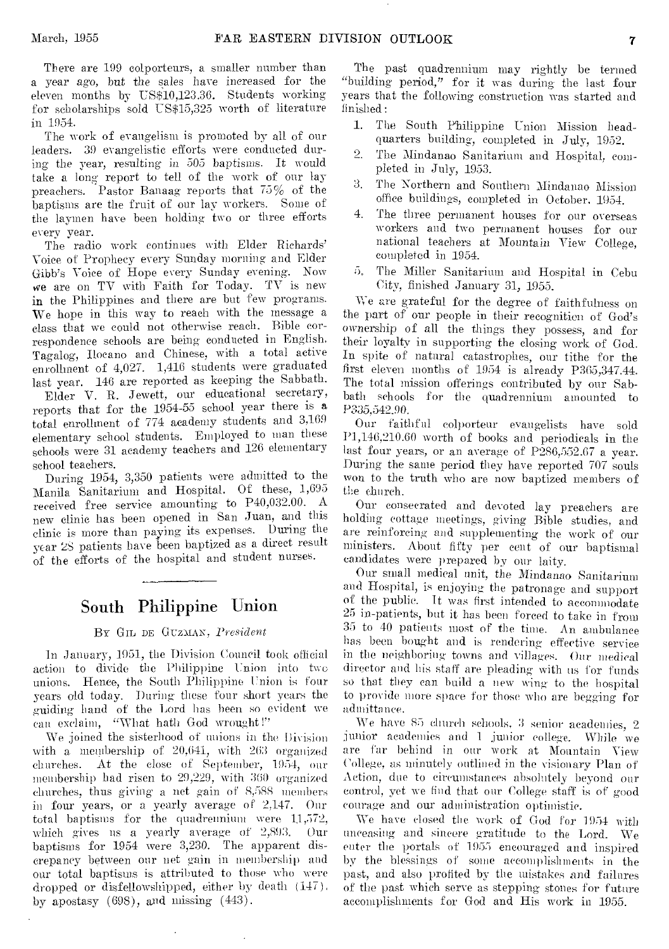There are 199 colporteurs, a smaller number than a year *ago,* but the sales have increased for the eleven months by US\$10,123.36. Students working for scholarships sold US\$15,325 worth of literature in 1954.

The work of evangelism is promoted by all of our leaders. 39 evangelistic efforts were conducted during the year, resulting *in* 505 baptisms. It would take a long report to tell of the work of our lay preachers. Pastor Banaag reports that 75% of the baptisms are the fruit of our lay workers. Some of the laymen have been holding two or three efforts every year.

The radio work continues with Elder Richards' Voice, of Prophecy every Sunday morning and Elder Gibb's Voice of Hope every Sunday evening. Now we are on TV with Faith for Today. TV is new in the Philippines and there are but few programs. We hope in this way to reach with the message a class that we could not otherwise reach. Bible correspondence schools are being conducted in English, Tagalog, Ilocano and Chinese, with a total active enrollment of 4,027. 1,416 students were graduated last year. 140 are reported as keeping the Sabbath.

Elder V. R. Jewett, our educational secretary, reports that for the 1954-55 school year there is a total enrollment of 774 academy students and 3,169 elementary school students. Employed to man these schools were 31 academy teachers and 126 elementary school teachers.

During 1954, 3,350 patients were admitted to the Manila Sanitarium and Hospital. Of these, 1,695 received free service amounting to P40,032.00. A new clinic has been opened in San Juan, and this clinic is more than paying its expenses. During the year 2S patients have been baptized as a direct result of the efforts of the hospital and student nurses.

## South Philippine Union

#### By GIL DE GUZMAN, *President*

In January, 1951, the Division Council took official action to divide the Philippine Union into two unions. Hence, the South Philippine Union is four years old today. During these four short years the guiding hand of the Lord has been so evident we can exclaim, "What hath God wrought!"

We joined the sisterhood of unions in the Division with a membership of  $20,641$ , with  $263$  organized churches. At the close of September, 1954, our membership had risen to 29,229, with 360 organized churches, thus giving a net gain of 8,588 members in four years, or a yearly average of 2,147. Our total baptisms for the quadrennium were  $11,572$ , which gives us a yearly average of  $2,893$ . Our which gives us a yearly average of  $2,893$ . baptisms for 1954 were 3,230. The apparent discrepancy between our net gain in membership and our total baptisms is attributed to those who were dropped or disfellowshipped, either by death (147), by apostasy  $(698)$ , and missing  $(443)$ .

The past quadrennium may rightly be termed "building period," for it was during the last four years that the following construction was started and finished:

- 1. The South Philippine Union Mission headquarters building, completed in July, 1952.
- 2. The Mindanao Sanitarium and Hospital, completed in July, 1953.
- 3. The Northern and Southern Mindanao Mission office buildings, completed in October. 1954.
- 4. The three permanent houses for our overseas workers and two permanent houses for our national teachers at Mountain View College, completed in 1954.
- 5. The Miller Sanitarium and Hospital in Cebu City, finished January 31, 1955.

We are grateful for the degree of faithfulness on the part of our people in their recognition of God's ownership of all the things they possess, and for their loyalty in supporting the closing work of God. In spite of natural catastrophes, our tithe for the first eleven months of 1954 is already P365,347.44. The total mission offerings contributed by our Sabbath schools for the quadrennium amounted to P335,542.90.

Our faithful colporteur evangelists have sold P1,146,210.60 worth of books and periodicals in the last four years, or an average of P286,552.67 a year. During the same period they have reported 707 souls won to the truth who are now baptized members of the church.

Our consecrated and devoted lay preachers are holding cottage meetings, giving Bible studies, and are reinforcing and supplementing the work of our ministers. About fifty per cent of our baptismal candidates were prepared by our laity.

Our small medical unit, the Mindanao Sanitarium and Hospital, is enjoying the patronage and support of the public. It was first intended to accommodate 25 in-patients, but it has been forced to take in from 35 to 40 patients most of the time. An ambulance has been bought and is rendering effective service in the neighboring towns and villages. Our medical director and his staff are pleading with us for funds so that they can build a new wing to the hospital to provide more space for those who are begging for admittance.

We have 85 church schools, 3 senior academies, 2 junior academies and 1 junior college. While we are far behind in our work at Mountain View College, as minutely outlined in the visionary Plan of Action, due to circumstances absolutely beyond our control, yet we find that our College staff is of good courage and our administration optimistic.

We have closed the work of God for 1954 with unceasing and sincere gratitude to the Lord. We enter the portals of 1955 encouraged and inspired by the blessings of some accomplishments in the past, and also profited by the mistakes and failures of the past which serve as stepping stones for future accomplishments for God and His work in 1955.